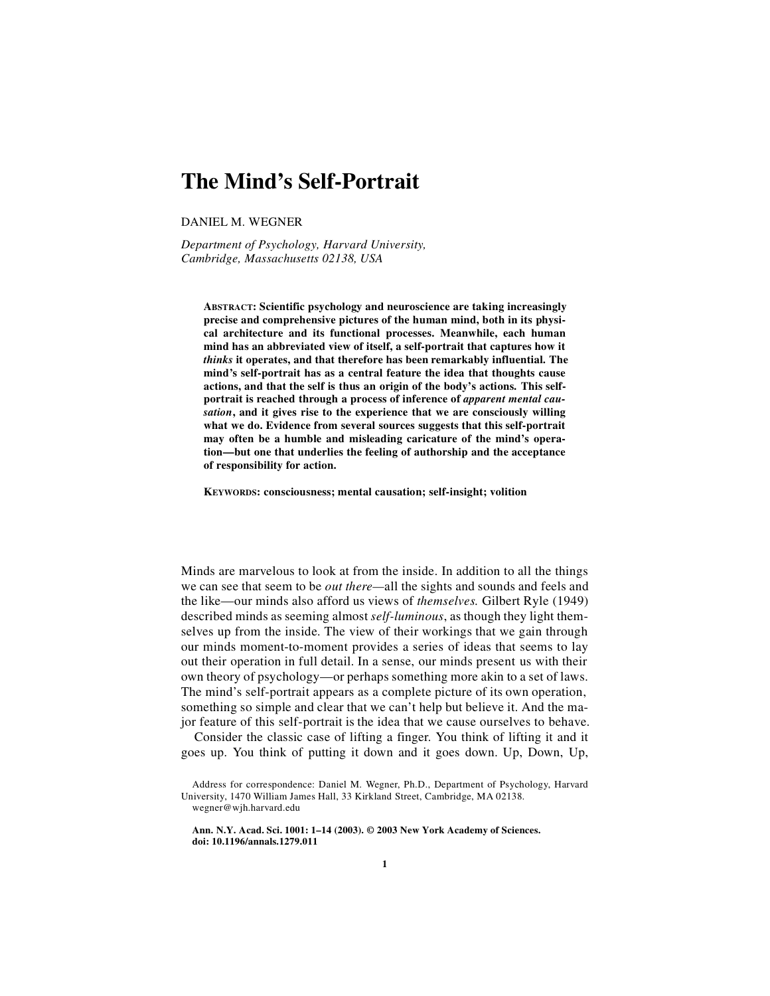# **The Mind's Self-Portrait**

DANIEL M. WEGNER

*Department of Psychology, Harvard University, Cambridge, Massachusetts 02138, USA*

**ABSTRACT: Scientific psychology and neuroscience are taking increasingly precise and comprehensive pictures of the human mind, both in its physical architecture and its functional processes. Meanwhile, each human mind has an abbreviated view of itself, a self-portrait that captures how it** *thinks* **it operates, and that therefore has been remarkably influential. The mind's self-portrait has as a central feature the idea that thoughts cause actions, and that the self is thus an origin of the body's actions. This self**portrait is reached through a process of inference of *apparent mental causation***, and it gives rise to the experience that we are consciously willing what we do. Evidence from several sources suggests that this self-portrait may often be a humble and misleading caricature of the mind's operation—but one that underlies the feeling of authorship and the acceptance of responsibility for action.**

**KEYWORDS: consciousness; mental causation; self-insight; volition**

Minds are marvelous to look at from the inside. In addition to all the things we can see that seem to be *out there—*all the sights and sounds and feels and the like—our minds also afford us views of *themselves.* Gilbert Ryle (1949) described minds as seeming almost *self-luminous*, as though they light themselves up from the inside. The view of their workings that we gain through our minds moment-to-moment provides a series of ideas that seems to lay out their operation in full detail. In a sense, our minds present us with their own theory of psychology—or perhaps something more akin to a set of laws. The mind's self-portrait appears as a complete picture of its own operation, something so simple and clear that we can't help but believe it. And the major feature of this self-portrait is the idea that we cause ourselves to behave.

Consider the classic case of lifting a finger. You think of lifting it and it goes up. You think of putting it down and it goes down. Up, Down, Up,

**Ann. N.Y. Acad. Sci. 1001: 1–14 (2003). © 2003 New York Academy of Sciences. doi: 10.1196/annals.1279.011**

Address for correspondence: Daniel M. Wegner, Ph.D., Department of Psychology, Harvard University, 1470 William James Hall, 33 Kirkland Street, Cambridge, MA 02138. wegner@wjh.harvard.edu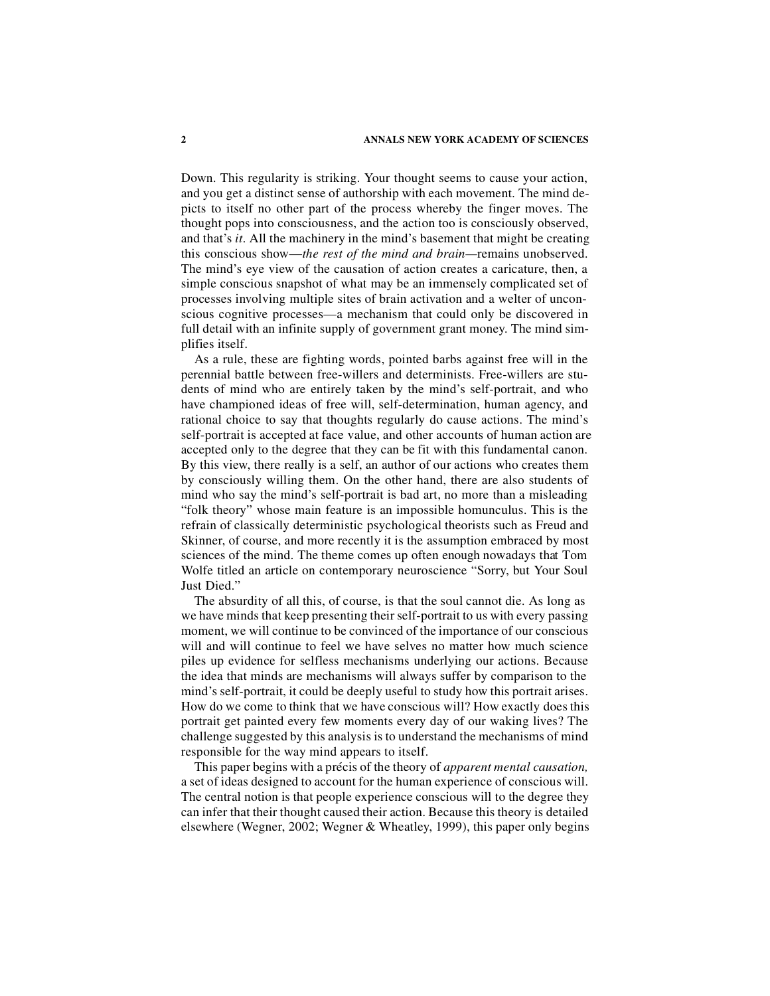Down. This regularity is striking. Your thought seems to cause your action, and you get a distinct sense of authorship with each movement. The mind depicts to itself no other part of the process whereby the finger moves. The thought pops into consciousness, and the action too is consciously observed, and that's *it*. All the machinery in the mind's basement that might be creating this conscious show—*the rest of the mind and brain—*remains unobserved. The mind's eye view of the causation of action creates a caricature, then, a simple conscious snapshot of what may be an immensely complicated set of processes involving multiple sites of brain activation and a welter of unconscious cognitive processes—a mechanism that could only be discovered in full detail with an infinite supply of government grant money. The mind simplifies itself.

As a rule, these are fighting words, pointed barbs against free will in the perennial battle between free-willers and determinists. Free-willers are students of mind who are entirely taken by the mind's self-portrait, and who have championed ideas of free will, self-determination, human agency, and rational choice to say that thoughts regularly do cause actions. The mind's self-portrait is accepted at face value, and other accounts of human action are accepted only to the degree that they can be fit with this fundamental canon. By this view, there really is a self, an author of our actions who creates them by consciously willing them. On the other hand, there are also students of mind who say the mind's self-portrait is bad art, no more than a misleading "folk theory" whose main feature is an impossible homunculus. This is the refrain of classically deterministic psychological theorists such as Freud and Skinner, of course, and more recently it is the assumption embraced by most sciences of the mind. The theme comes up often enough nowadays that Tom Wolfe titled an article on contemporary neuroscience "Sorry, but Your Soul Just Died."

The absurdity of all this, of course, is that the soul cannot die. As long as we have minds that keep presenting their self-portrait to us with every passing moment, we will continue to be convinced of the importance of our conscious will and will continue to feel we have selves no matter how much science piles up evidence for selfless mechanisms underlying our actions. Because the idea that minds are mechanisms will always suffer by comparison to the mind's self-portrait, it could be deeply useful to study how this portrait arises. How do we come to think that we have conscious will? How exactly does this portrait get painted every few moments every day of our waking lives? The challenge suggested by this analysis is to understand the mechanisms of mind responsible for the way mind appears to itself.

This paper begins with a précis of the theory of *apparent mental causation,* a set of ideas designed to account for the human experience of conscious will. The central notion is that people experience conscious will to the degree they can infer that their thought caused their action. Because this theory is detailed elsewhere (Wegner, 2002; Wegner & Wheatley, 1999), this paper only begins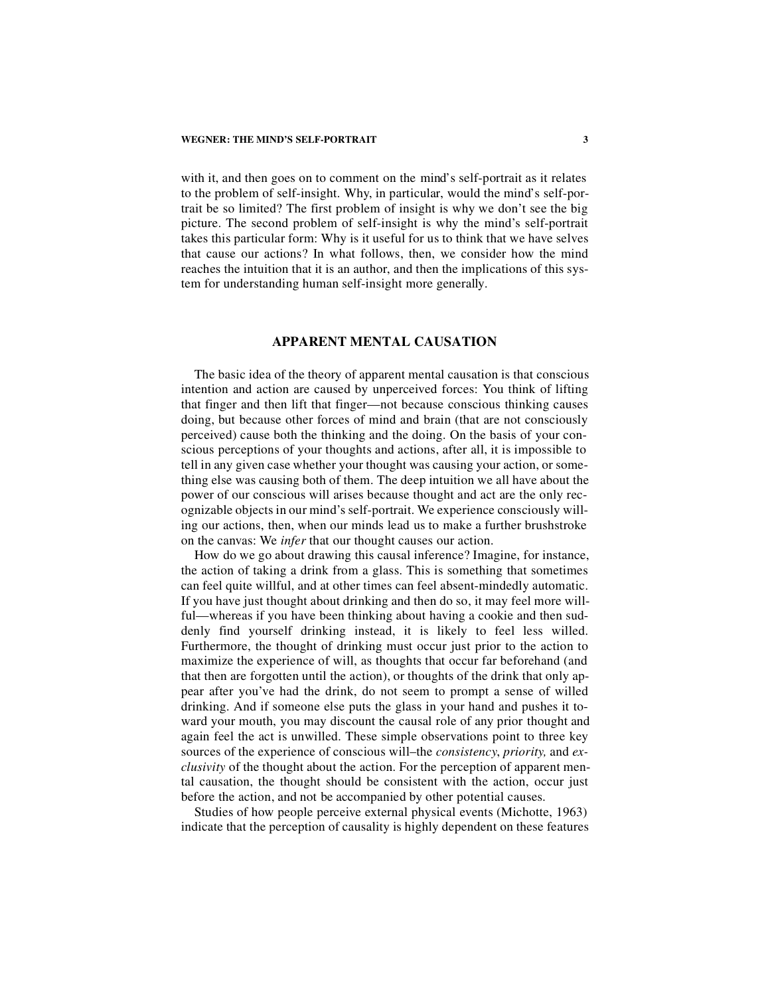with it, and then goes on to comment on the mind's self-portrait as it relates to the problem of self-insight. Why, in particular, would the mind's self-portrait be so limited? The first problem of insight is why we don't see the big picture. The second problem of self-insight is why the mind's self-portrait takes this particular form: Why is it useful for us to think that we have selves that cause our actions? In what follows, then, we consider how the mind reaches the intuition that it is an author, and then the implications of this system for understanding human self-insight more generally.

#### **APPARENT MENTAL CAUSATION**

The basic idea of the theory of apparent mental causation is that conscious intention and action are caused by unperceived forces: You think of lifting that finger and then lift that finger—not because conscious thinking causes doing, but because other forces of mind and brain (that are not consciously perceived) cause both the thinking and the doing. On the basis of your conscious perceptions of your thoughts and actions, after all, it is impossible to tell in any given case whether your thought was causing your action, or something else was causing both of them. The deep intuition we all have about the power of our conscious will arises because thought and act are the only recognizable objects in our mind's self-portrait. We experience consciously willing our actions, then, when our minds lead us to make a further brushstroke on the canvas: We *infer* that our thought causes our action.

How do we go about drawing this causal inference? Imagine, for instance, the action of taking a drink from a glass. This is something that sometimes can feel quite willful, and at other times can feel absent-mindedly automatic. If you have just thought about drinking and then do so, it may feel more willful—whereas if you have been thinking about having a cookie and then suddenly find yourself drinking instead, it is likely to feel less willed. Furthermore, the thought of drinking must occur just prior to the action to maximize the experience of will, as thoughts that occur far beforehand (and that then are forgotten until the action), or thoughts of the drink that only appear after you've had the drink, do not seem to prompt a sense of willed drinking. And if someone else puts the glass in your hand and pushes it toward your mouth, you may discount the causal role of any prior thought and again feel the act is unwilled. These simple observations point to three key sources of the experience of conscious will–the *consistency*, *priority,* and *exclusivity* of the thought about the action. For the perception of apparent mental causation, the thought should be consistent with the action, occur just before the action, and not be accompanied by other potential causes.

Studies of how people perceive external physical events (Michotte, 1963) indicate that the perception of causality is highly dependent on these features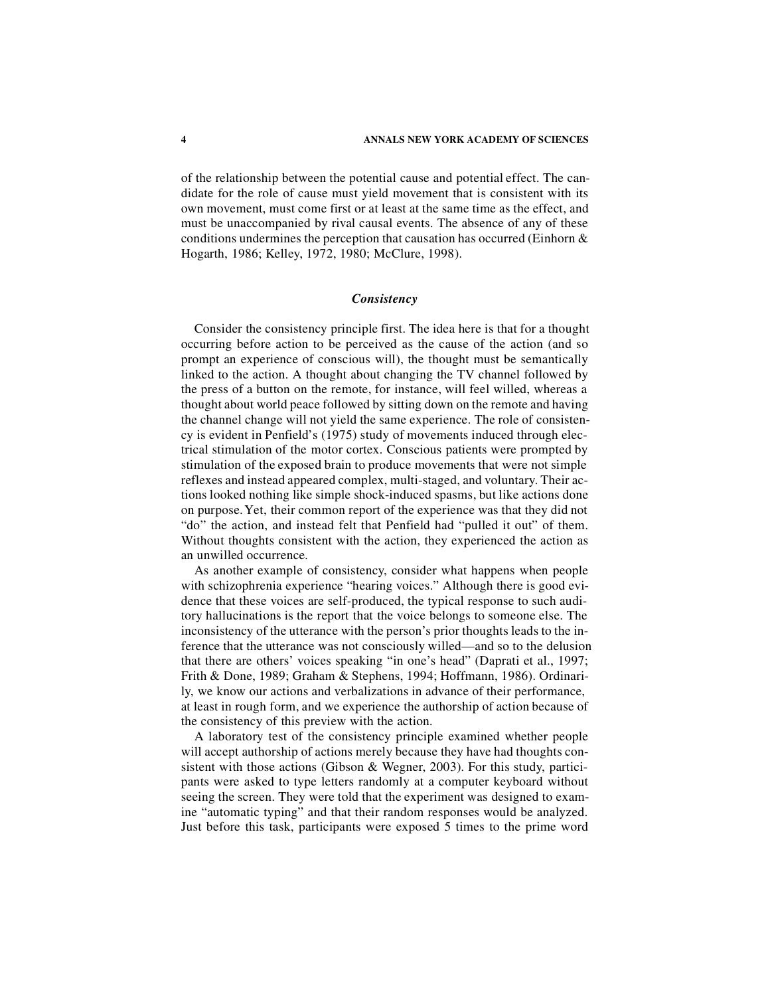of the relationship between the potential cause and potential effect. The candidate for the role of cause must yield movement that is consistent with its own movement, must come first or at least at the same time as the effect, and must be unaccompanied by rival causal events. The absence of any of these conditions undermines the perception that causation has occurred (Einhorn & Hogarth, 1986; Kelley, 1972, 1980; McClure, 1998).

#### *Consistency*

Consider the consistency principle first. The idea here is that for a thought occurring before action to be perceived as the cause of the action (and so prompt an experience of conscious will), the thought must be semantically linked to the action. A thought about changing the TV channel followed by the press of a button on the remote, for instance, will feel willed, whereas a thought about world peace followed by sitting down on the remote and having the channel change will not yield the same experience. The role of consistency is evident in Penfield's (1975) study of movements induced through electrical stimulation of the motor cortex. Conscious patients were prompted by stimulation of the exposed brain to produce movements that were not simple reflexes and instead appeared complex, multi-staged, and voluntary. Their actions looked nothing like simple shock-induced spasms, but like actions done on purpose. Yet, their common report of the experience was that they did not "do" the action, and instead felt that Penfield had "pulled it out" of them. Without thoughts consistent with the action, they experienced the action as an unwilled occurrence.

As another example of consistency, consider what happens when people with schizophrenia experience "hearing voices." Although there is good evidence that these voices are self-produced, the typical response to such auditory hallucinations is the report that the voice belongs to someone else. The inconsistency of the utterance with the person's prior thoughts leads to the inference that the utterance was not consciously willed—and so to the delusion that there are others' voices speaking "in one's head" (Daprati et al., 1997; Frith & Done, 1989; Graham & Stephens, 1994; Hoffmann, 1986). Ordinarily, we know our actions and verbalizations in advance of their performance, at least in rough form, and we experience the authorship of action because of the consistency of this preview with the action.

A laboratory test of the consistency principle examined whether people will accept authorship of actions merely because they have had thoughts consistent with those actions (Gibson & Wegner, 2003). For this study, participants were asked to type letters randomly at a computer keyboard without seeing the screen. They were told that the experiment was designed to examine "automatic typing" and that their random responses would be analyzed. Just before this task, participants were exposed 5 times to the prime word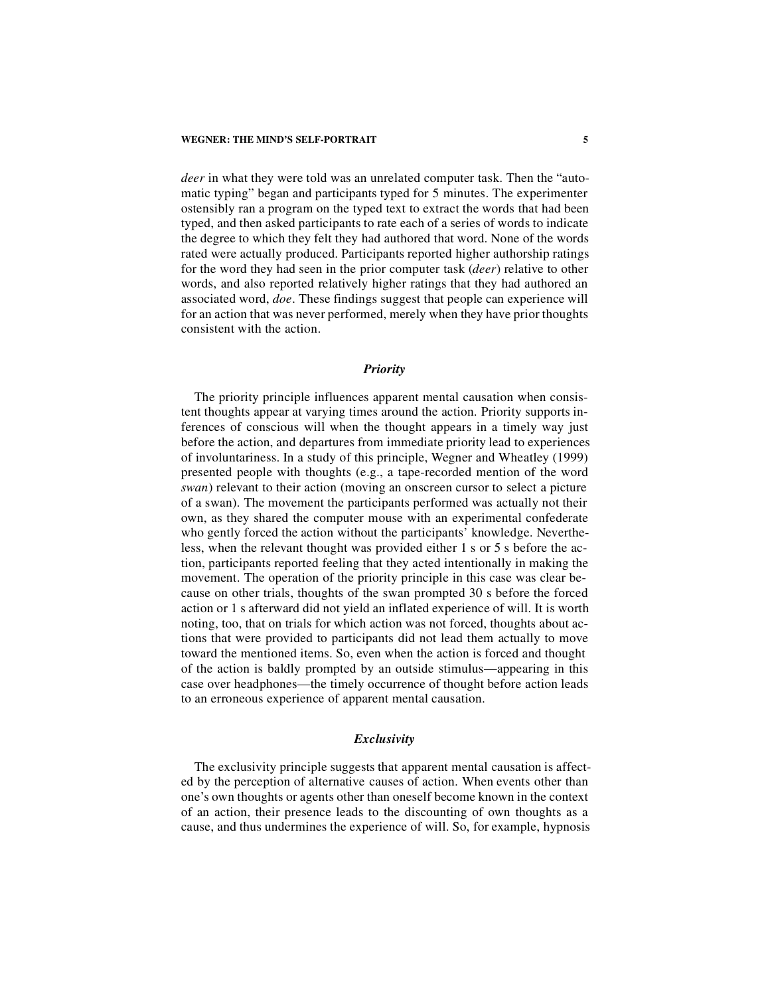*deer* in what they were told was an unrelated computer task. Then the "automatic typing" began and participants typed for 5 minutes. The experimenter ostensibly ran a program on the typed text to extract the words that had been typed, and then asked participants to rate each of a series of words to indicate the degree to which they felt they had authored that word. None of the words rated were actually produced. Participants reported higher authorship ratings for the word they had seen in the prior computer task (*deer*) relative to other words, and also reported relatively higher ratings that they had authored an associated word, *doe*. These findings suggest that people can experience will for an action that was never performed, merely when they have prior thoughts consistent with the action.

### *Priority*

The priority principle influences apparent mental causation when consistent thoughts appear at varying times around the action. Priority supports inferences of conscious will when the thought appears in a timely way just before the action, and departures from immediate priority lead to experiences of involuntariness. In a study of this principle, Wegner and Wheatley (1999) presented people with thoughts (e.g., a tape-recorded mention of the word *swan*) relevant to their action (moving an onscreen cursor to select a picture of a swan). The movement the participants performed was actually not their own, as they shared the computer mouse with an experimental confederate who gently forced the action without the participants' knowledge. Nevertheless, when the relevant thought was provided either 1 s or 5 s before the action, participants reported feeling that they acted intentionally in making the movement. The operation of the priority principle in this case was clear because on other trials, thoughts of the swan prompted 30 s before the forced action or 1 s afterward did not yield an inflated experience of will. It is worth noting, too, that on trials for which action was not forced, thoughts about actions that were provided to participants did not lead them actually to move toward the mentioned items. So, even when the action is forced and thought of the action is baldly prompted by an outside stimulus—appearing in this case over headphones—the timely occurrence of thought before action leads to an erroneous experience of apparent mental causation.

#### *Exclusivity*

The exclusivity principle suggests that apparent mental causation is affected by the perception of alternative causes of action. When events other than one's own thoughts or agents other than oneself become known in the context of an action, their presence leads to the discounting of own thoughts as a cause, and thus undermines the experience of will. So, for example, hypnosis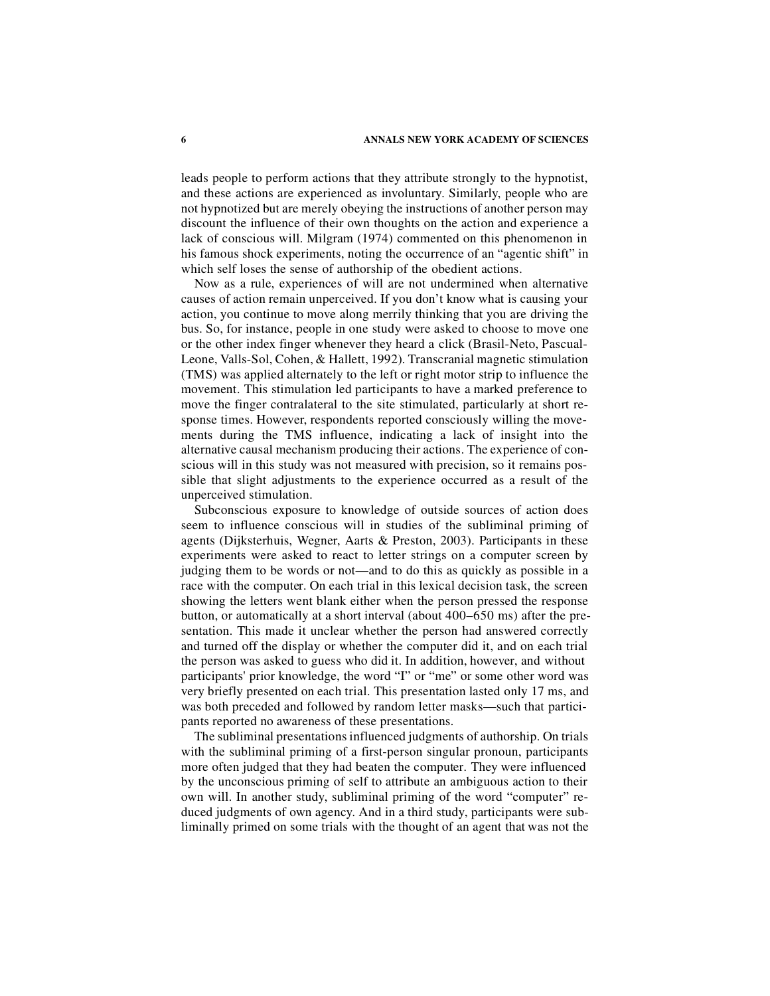leads people to perform actions that they attribute strongly to the hypnotist, and these actions are experienced as involuntary. Similarly, people who are not hypnotized but are merely obeying the instructions of another person may discount the influence of their own thoughts on the action and experience a lack of conscious will. Milgram (1974) commented on this phenomenon in his famous shock experiments, noting the occurrence of an "agentic shift" in which self loses the sense of authorship of the obedient actions.

Now as a rule, experiences of will are not undermined when alternative causes of action remain unperceived. If you don't know what is causing your action, you continue to move along merrily thinking that you are driving the bus. So, for instance, people in one study were asked to choose to move one or the other index finger whenever they heard a click (Brasil-Neto, Pascual-Leone, Valls-Sol, Cohen, & Hallett, 1992). Transcranial magnetic stimulation (TMS) was applied alternately to the left or right motor strip to influence the movement. This stimulation led participants to have a marked preference to move the finger contralateral to the site stimulated, particularly at short response times. However, respondents reported consciously willing the movements during the TMS influence, indicating a lack of insight into the alternative causal mechanism producing their actions. The experience of conscious will in this study was not measured with precision, so it remains possible that slight adjustments to the experience occurred as a result of the unperceived stimulation.

Subconscious exposure to knowledge of outside sources of action does seem to influence conscious will in studies of the subliminal priming of agents (Dijksterhuis, Wegner, Aarts & Preston, 2003). Participants in these experiments were asked to react to letter strings on a computer screen by judging them to be words or not—and to do this as quickly as possible in a race with the computer. On each trial in this lexical decision task, the screen showing the letters went blank either when the person pressed the response button, or automatically at a short interval (about 400–650 ms) after the presentation. This made it unclear whether the person had answered correctly and turned off the display or whether the computer did it, and on each trial the person was asked to guess who did it. In addition, however, and without participants' prior knowledge, the word "I" or "me" or some other word was very briefly presented on each trial. This presentation lasted only 17 ms, and was both preceded and followed by random letter masks—such that participants reported no awareness of these presentations.

The subliminal presentations influenced judgments of authorship. On trials with the subliminal priming of a first-person singular pronoun, participants more often judged that they had beaten the computer. They were influenced by the unconscious priming of self to attribute an ambiguous action to their own will. In another study, subliminal priming of the word "computer" reduced judgments of own agency. And in a third study, participants were subliminally primed on some trials with the thought of an agent that was not the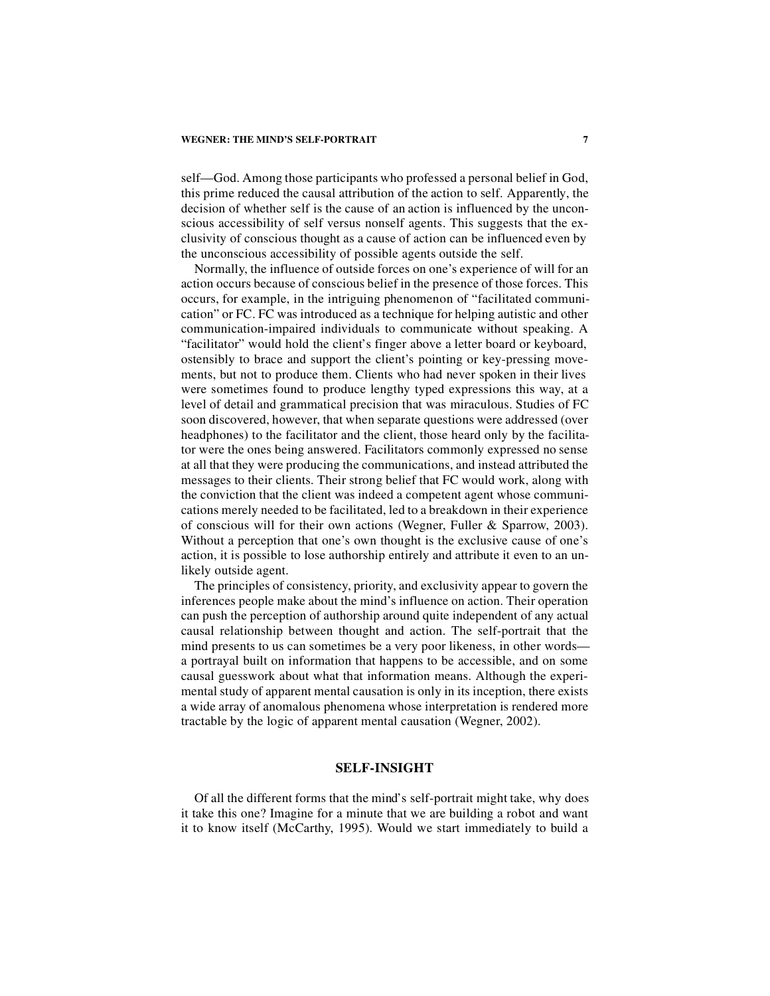self—God. Among those participants who professed a personal belief in God, this prime reduced the causal attribution of the action to self. Apparently, the decision of whether self is the cause of an action is influenced by the unconscious accessibility of self versus nonself agents. This suggests that the exclusivity of conscious thought as a cause of action can be influenced even by the unconscious accessibility of possible agents outside the self.

Normally, the influence of outside forces on one's experience of will for an action occurs because of conscious belief in the presence of those forces. This occurs, for example, in the intriguing phenomenon of "facilitated communication" or FC. FC was introduced as a technique for helping autistic and other communication-impaired individuals to communicate without speaking. A "facilitator" would hold the client's finger above a letter board or keyboard, ostensibly to brace and support the client's pointing or key-pressing movements, but not to produce them. Clients who had never spoken in their lives were sometimes found to produce lengthy typed expressions this way, at a level of detail and grammatical precision that was miraculous. Studies of FC soon discovered, however, that when separate questions were addressed (over headphones) to the facilitator and the client, those heard only by the facilitator were the ones being answered. Facilitators commonly expressed no sense at all that they were producing the communications, and instead attributed the messages to their clients. Their strong belief that FC would work, along with the conviction that the client was indeed a competent agent whose communications merely needed to be facilitated, led to a breakdown in their experience of conscious will for their own actions (Wegner, Fuller & Sparrow, 2003). Without a perception that one's own thought is the exclusive cause of one's action, it is possible to lose authorship entirely and attribute it even to an unlikely outside agent.

The principles of consistency, priority, and exclusivity appear to govern the inferences people make about the mind's influence on action. Their operation can push the perception of authorship around quite independent of any actual causal relationship between thought and action. The self-portrait that the mind presents to us can sometimes be a very poor likeness, in other words a portrayal built on information that happens to be accessible, and on some causal guesswork about what that information means. Although the experimental study of apparent mental causation is only in its inception, there exists a wide array of anomalous phenomena whose interpretation is rendered more tractable by the logic of apparent mental causation (Wegner, 2002).

### **SELF-INSIGHT**

Of all the different forms that the mind's self-portrait might take, why does it take this one? Imagine for a minute that we are building a robot and want it to know itself (McCarthy, 1995). Would we start immediately to build a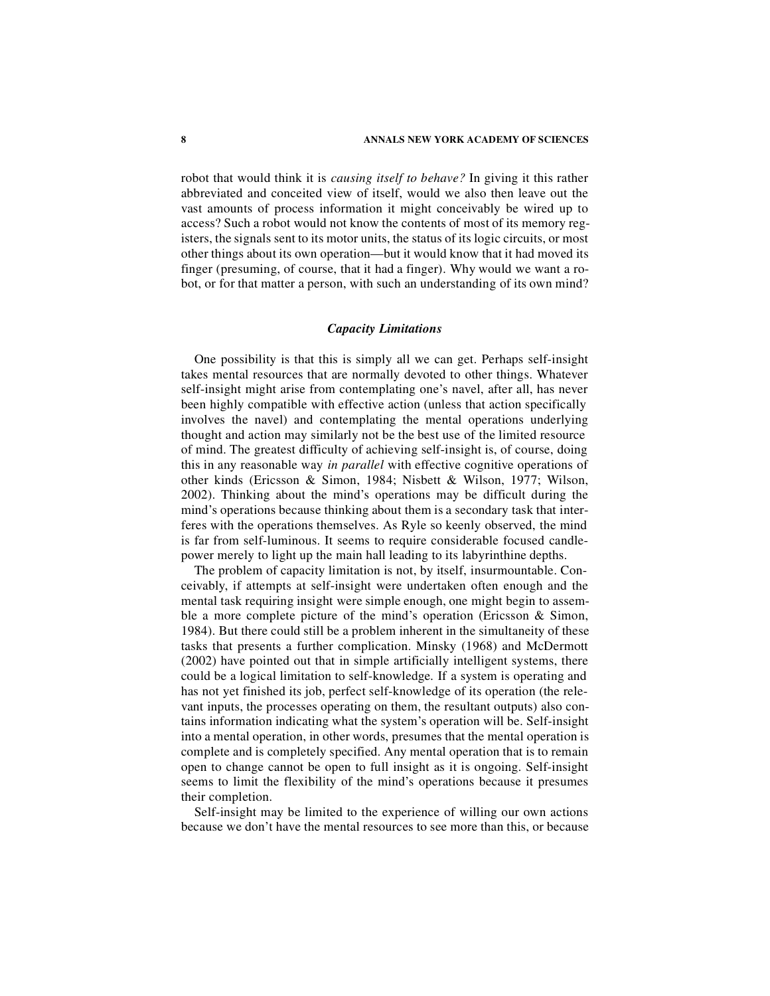robot that would think it is *causing itself to behave?* In giving it this rather abbreviated and conceited view of itself, would we also then leave out the vast amounts of process information it might conceivably be wired up to access? Such a robot would not know the contents of most of its memory registers, the signals sent to its motor units, the status of its logic circuits, or most other things about its own operation—but it would know that it had moved its finger (presuming, of course, that it had a finger). Why would we want a robot, or for that matter a person, with such an understanding of its own mind?

#### *Capacity Limitations*

One possibility is that this is simply all we can get. Perhaps self-insight takes mental resources that are normally devoted to other things. Whatever self-insight might arise from contemplating one's navel, after all, has never been highly compatible with effective action (unless that action specifically involves the navel) and contemplating the mental operations underlying thought and action may similarly not be the best use of the limited resource of mind. The greatest difficulty of achieving self-insight is, of course, doing this in any reasonable way *in parallel* with effective cognitive operations of other kinds (Ericsson & Simon, 1984; Nisbett & Wilson, 1977; Wilson, 2002). Thinking about the mind's operations may be difficult during the mind's operations because thinking about them is a secondary task that interferes with the operations themselves. As Ryle so keenly observed, the mind is far from self-luminous. It seems to require considerable focused candlepower merely to light up the main hall leading to its labyrinthine depths.

The problem of capacity limitation is not, by itself, insurmountable. Conceivably, if attempts at self-insight were undertaken often enough and the mental task requiring insight were simple enough, one might begin to assemble a more complete picture of the mind's operation (Ericsson & Simon, 1984). But there could still be a problem inherent in the simultaneity of these tasks that presents a further complication. Minsky (1968) and McDermott (2002) have pointed out that in simple artificially intelligent systems, there could be a logical limitation to self-knowledge. If a system is operating and has not yet finished its job, perfect self-knowledge of its operation (the relevant inputs, the processes operating on them, the resultant outputs) also contains information indicating what the system's operation will be. Self-insight into a mental operation, in other words, presumes that the mental operation is complete and is completely specified. Any mental operation that is to remain open to change cannot be open to full insight as it is ongoing. Self-insight seems to limit the flexibility of the mind's operations because it presumes their completion.

Self-insight may be limited to the experience of willing our own actions because we don't have the mental resources to see more than this, or because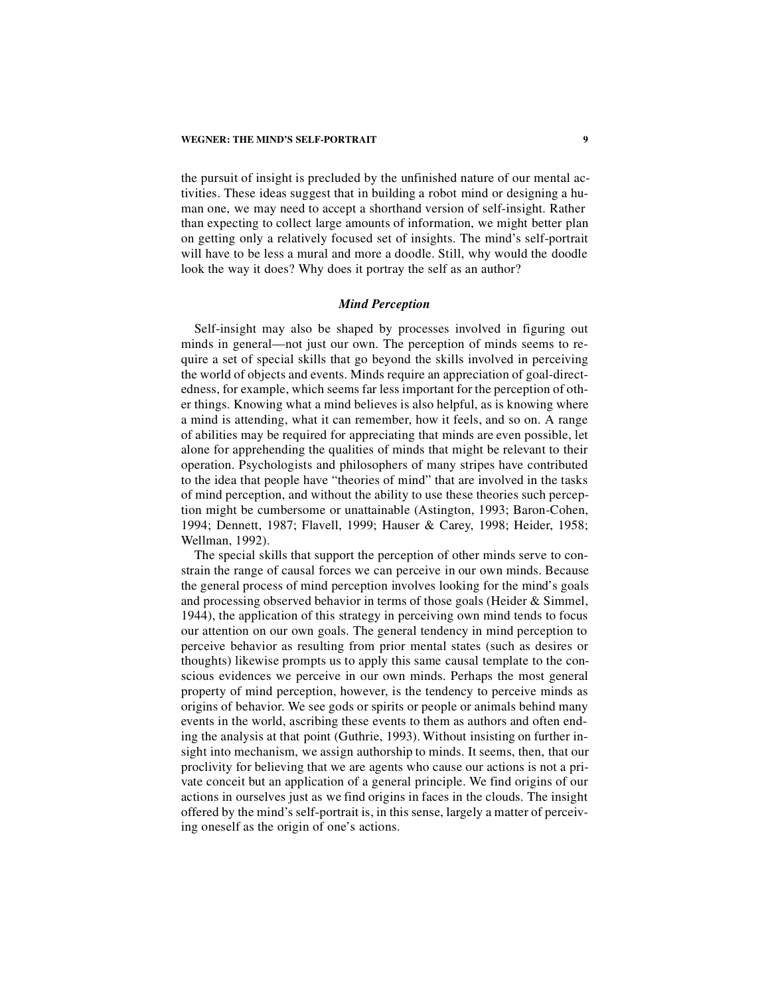the pursuit of insight is precluded by the unfinished nature of our mental activities. These ideas suggest that in building a robot mind or designing a human one, we may need to accept a shorthand version of self-insight. Rather than expecting to collect large amounts of information, we might better plan on getting only a relatively focused set of insights. The mind's self-portrait will have to be less a mural and more a doodle. Still, why would the doodle look the way it does? Why does it portray the self as an author?

#### *Mind Perception*

Self-insight may also be shaped by processes involved in figuring out minds in general—not just our own. The perception of minds seems to require a set of special skills that go beyond the skills involved in perceiving the world of objects and events. Minds require an appreciation of goal-directedness, for example, which seems far less important for the perception of other things. Knowing what a mind believes is also helpful, as is knowing where a mind is attending, what it can remember, how it feels, and so on. A range of abilities may be required for appreciating that minds are even possible, let alone for apprehending the qualities of minds that might be relevant to their operation. Psychologists and philosophers of many stripes have contributed to the idea that people have "theories of mind" that are involved in the tasks of mind perception, and without the ability to use these theories such perception might be cumbersome or unattainable (Astington, 1993; Baron-Cohen, 1994; Dennett, 1987; Flavell, 1999; Hauser & Carey, 1998; Heider, 1958; Wellman, 1992).

The special skills that support the perception of other minds serve to constrain the range of causal forces we can perceive in our own minds. Because the general process of mind perception involves looking for the mind's goals and processing observed behavior in terms of those goals (Heider & Simmel, 1944), the application of this strategy in perceiving own mind tends to focus our attention on our own goals. The general tendency in mind perception to perceive behavior as resulting from prior mental states (such as desires or thoughts) likewise prompts us to apply this same causal template to the conscious evidences we perceive in our own minds. Perhaps the most general property of mind perception, however, is the tendency to perceive minds as origins of behavior. We see gods or spirits or people or animals behind many events in the world, ascribing these events to them as authors and often ending the analysis at that point (Guthrie, 1993). Without insisting on further insight into mechanism, we assign authorship to minds. It seems, then, that our proclivity for believing that we are agents who cause our actions is not a private conceit but an application of a general principle. We find origins of our actions in ourselves just as we find origins in faces in the clouds. The insight offered by the mind's self-portrait is, in this sense, largely a matter of perceiving oneself as the origin of one's actions.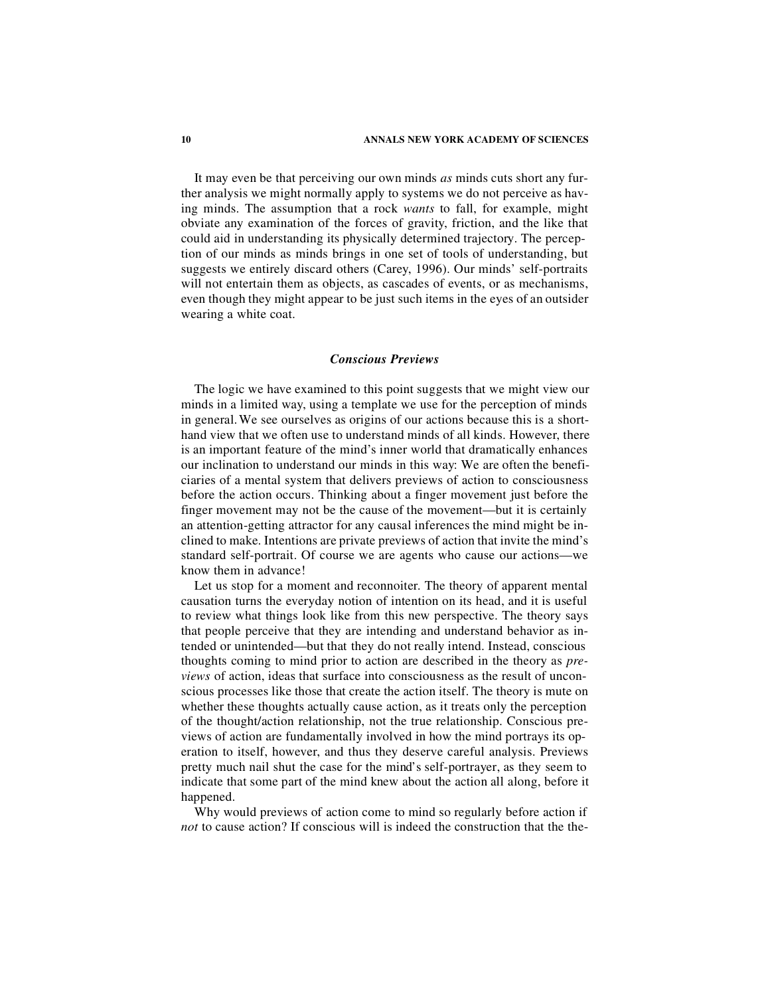It may even be that perceiving our own minds *as* minds cuts short any further analysis we might normally apply to systems we do not perceive as having minds. The assumption that a rock *wants* to fall, for example, might obviate any examination of the forces of gravity, friction, and the like that could aid in understanding its physically determined trajectory. The perception of our minds as minds brings in one set of tools of understanding, but suggests we entirely discard others (Carey, 1996). Our minds' self-portraits will not entertain them as objects, as cascades of events, or as mechanisms, even though they might appear to be just such items in the eyes of an outsider wearing a white coat.

### *Conscious Previews*

The logic we have examined to this point suggests that we might view our minds in a limited way, using a template we use for the perception of minds in general. We see ourselves as origins of our actions because this is a shorthand view that we often use to understand minds of all kinds. However, there is an important feature of the mind's inner world that dramatically enhances our inclination to understand our minds in this way: We are often the beneficiaries of a mental system that delivers previews of action to consciousness before the action occurs. Thinking about a finger movement just before the finger movement may not be the cause of the movement—but it is certainly an attention-getting attractor for any causal inferences the mind might be inclined to make. Intentions are private previews of action that invite the mind's standard self-portrait. Of course we are agents who cause our actions—we know them in advance!

Let us stop for a moment and reconnoiter. The theory of apparent mental causation turns the everyday notion of intention on its head, and it is useful to review what things look like from this new perspective. The theory says that people perceive that they are intending and understand behavior as intended or unintended—but that they do not really intend. Instead, conscious thoughts coming to mind prior to action are described in the theory as *previews* of action, ideas that surface into consciousness as the result of unconscious processes like those that create the action itself. The theory is mute on whether these thoughts actually cause action, as it treats only the perception of the thought/action relationship, not the true relationship. Conscious previews of action are fundamentally involved in how the mind portrays its operation to itself, however, and thus they deserve careful analysis. Previews pretty much nail shut the case for the mind's self-portrayer, as they seem to indicate that some part of the mind knew about the action all along, before it happened.

Why would previews of action come to mind so regularly before action if *not* to cause action? If conscious will is indeed the construction that the the-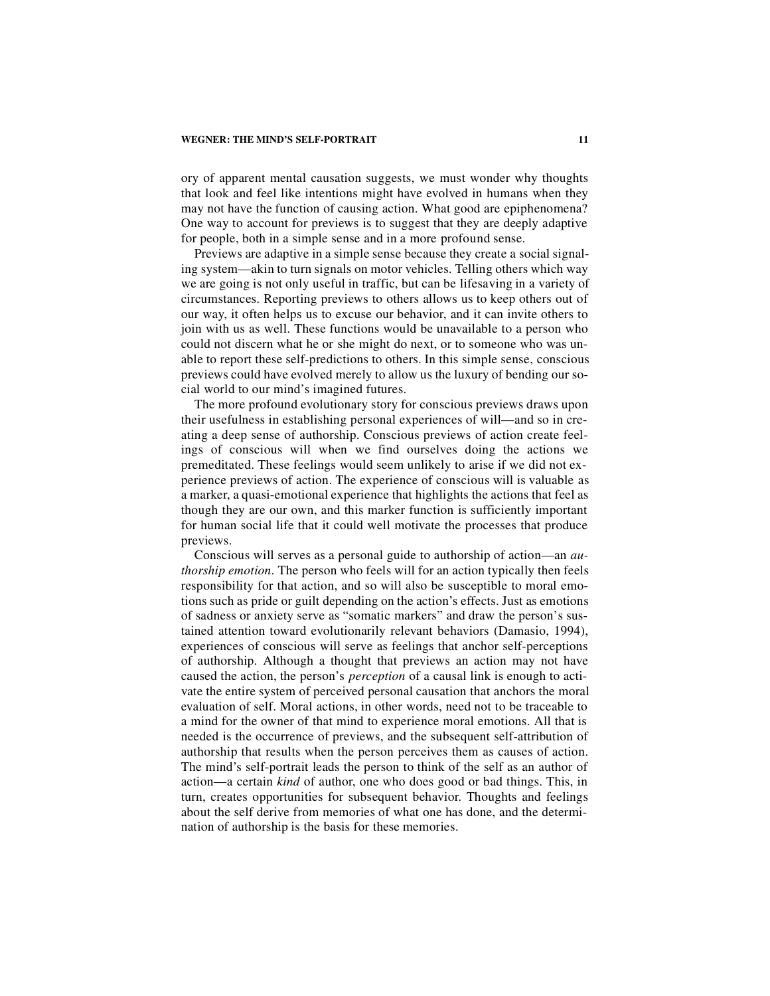#### **WEGNER: THE MIND'S SELF-PORTRAIT 11**

ory of apparent mental causation suggests, we must wonder why thoughts that look and feel like intentions might have evolved in humans when they may not have the function of causing action. What good are epiphenomena? One way to account for previews is to suggest that they are deeply adaptive for people, both in a simple sense and in a more profound sense.

Previews are adaptive in a simple sense because they create a social signaling system—akin to turn signals on motor vehicles. Telling others which way we are going is not only useful in traffic, but can be lifesaving in a variety of circumstances. Reporting previews to others allows us to keep others out of our way, it often helps us to excuse our behavior, and it can invite others to join with us as well. These functions would be unavailable to a person who could not discern what he or she might do next, or to someone who was unable to report these self-predictions to others. In this simple sense, conscious previews could have evolved merely to allow us the luxury of bending our social world to our mind's imagined futures.

The more profound evolutionary story for conscious previews draws upon their usefulness in establishing personal experiences of will—and so in creating a deep sense of authorship. Conscious previews of action create feelings of conscious will when we find ourselves doing the actions we premeditated. These feelings would seem unlikely to arise if we did not experience previews of action. The experience of conscious will is valuable as a marker, a quasi-emotional experience that highlights the actions that feel as though they are our own, and this marker function is sufficiently important for human social life that it could well motivate the processes that produce previews.

Conscious will serves as a personal guide to authorship of action—an *authorship emotion*. The person who feels will for an action typically then feels responsibility for that action, and so will also be susceptible to moral emotions such as pride or guilt depending on the action's effects. Just as emotions of sadness or anxiety serve as "somatic markers" and draw the person's sustained attention toward evolutionarily relevant behaviors (Damasio, 1994), experiences of conscious will serve as feelings that anchor self-perceptions of authorship. Although a thought that previews an action may not have caused the action, the person's *perception* of a causal link is enough to activate the entire system of perceived personal causation that anchors the moral evaluation of self. Moral actions, in other words, need not to be traceable to a mind for the owner of that mind to experience moral emotions. All that is needed is the occurrence of previews, and the subsequent self-attribution of authorship that results when the person perceives them as causes of action. The mind's self-portrait leads the person to think of the self as an author of action—a certain *kind* of author, one who does good or bad things. This, in turn, creates opportunities for subsequent behavior. Thoughts and feelings about the self derive from memories of what one has done, and the determination of authorship is the basis for these memories.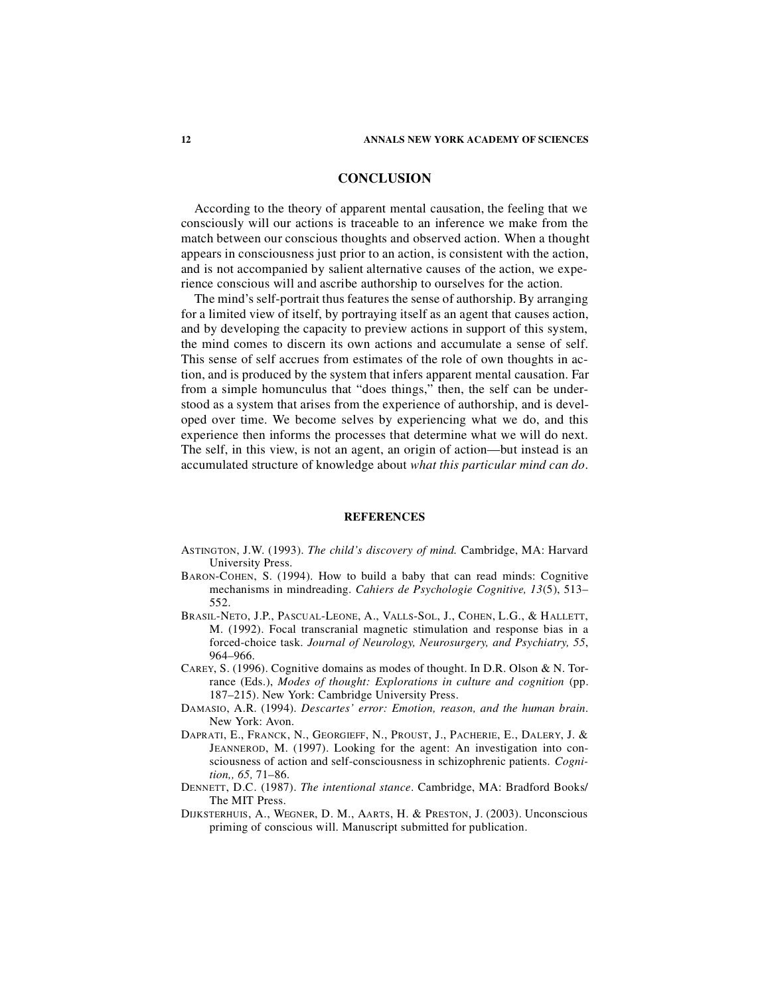## **CONCLUSION**

According to the theory of apparent mental causation, the feeling that we consciously will our actions is traceable to an inference we make from the match between our conscious thoughts and observed action. When a thought appears in consciousness just prior to an action, is consistent with the action, and is not accompanied by salient alternative causes of the action, we experience conscious will and ascribe authorship to ourselves for the action.

The mind's self-portrait thus features the sense of authorship. By arranging for a limited view of itself, by portraying itself as an agent that causes action, and by developing the capacity to preview actions in support of this system, the mind comes to discern its own actions and accumulate a sense of self. This sense of self accrues from estimates of the role of own thoughts in action, and is produced by the system that infers apparent mental causation. Far from a simple homunculus that "does things," then, the self can be understood as a system that arises from the experience of authorship, and is developed over time. We become selves by experiencing what we do, and this experience then informs the processes that determine what we will do next. The self, in this view, is not an agent, an origin of action—but instead is an accumulated structure of knowledge about *what this particular mind can do*.

#### **REFERENCES**

- ASTINGTON, J.W. (1993). *The child's discovery of mind.* Cambridge, MA: Harvard University Press.
- BARON-COHEN, S. (1994). How to build a baby that can read minds: Cognitive mechanisms in mindreading. *Cahiers de Psychologie Cognitive, 13*(5), 513– 552.
- BRASIL-NETO, J.P., PASCUAL-LEONE, A., VALLS-SOL, J., COHEN, L.G., & HALLETT, M. (1992). Focal transcranial magnetic stimulation and response bias in a forced-choice task. *Journal of Neurology, Neurosurgery, and Psychiatry, 55*, 964–966.
- CAREY, S. (1996). Cognitive domains as modes of thought. In D.R. Olson & N. Torrance (Eds.), *Modes of thought: Explorations in culture and cognition* (pp. 187–215). New York: Cambridge University Press.
- DAMASIO, A.R. (1994). *Descartes' error: Emotion, reason, and the human brain*. New York: Avon.
- DAPRATI, E., FRANCK, N., GEORGIEFF, N., PROUST, J., PACHERIE, E., DALERY, J. & JEANNEROD, M. (1997). Looking for the agent: An investigation into consciousness of action and self-consciousness in schizophrenic patients. *Cognition,, 65,* 71–86.
- DENNETT, D.C. (1987). *The intentional stance*. Cambridge, MA: Bradford Books/ The MIT Press.
- DIJKSTERHUIS, A., WEGNER, D. M., AARTS, H. & PRESTON, J. (2003). Unconscious priming of conscious will. Manuscript submitted for publication.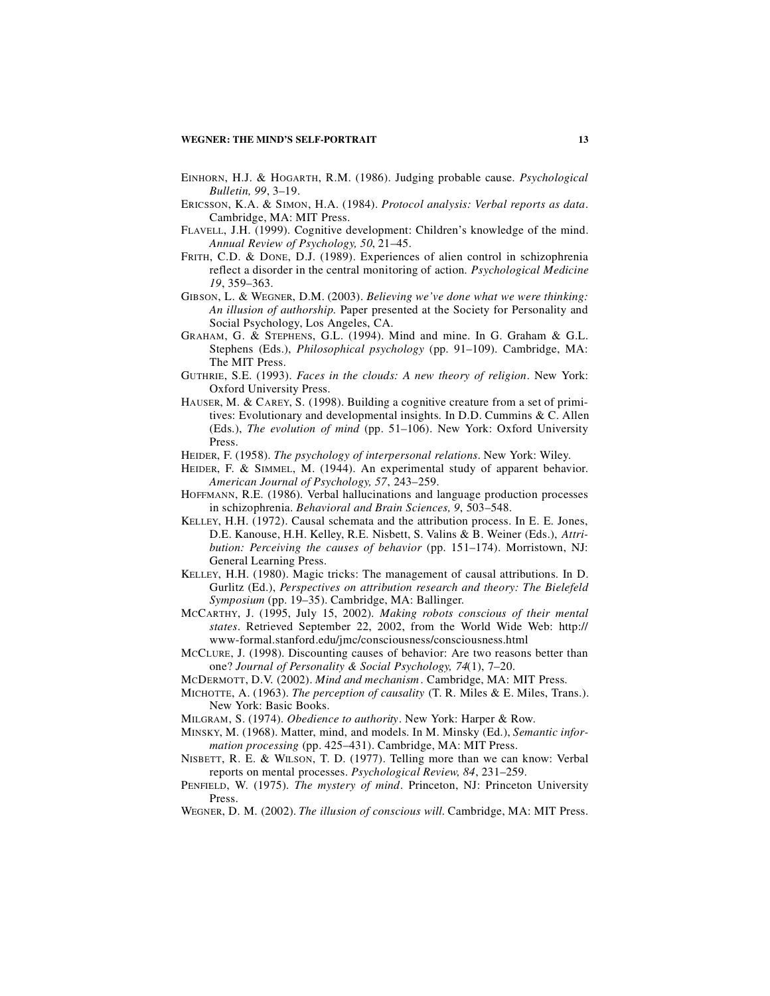- EINHORN, H.J. & HOGARTH, R.M. (1986). Judging probable cause. *Psychological Bulletin, 99*, 3–19.
- ERICSSON, K.A. & SIMON, H.A. (1984). *Protocol analysis: Verbal reports as data*. Cambridge, MA: MIT Press.
- FLAVELL, J.H. (1999). Cognitive development: Children's knowledge of the mind. *Annual Review of Psychology, 50*, 21–45.
- FRITH, C.D. & DONE, D.J. (1989). Experiences of alien control in schizophrenia reflect a disorder in the central monitoring of action. *Psychological Medicine 19*, 359–363.
- GIBSON, L. & WEGNER, D.M. (2003). *Believing we've done what we were thinking: An illusion of authorship.* Paper presented at the Society for Personality and Social Psychology, Los Angeles, CA.
- GRAHAM, G. & STEPHENS, G.L. (1994). Mind and mine. In G. Graham & G.L. Stephens (Eds.), *Philosophical psychology* (pp. 91–109). Cambridge, MA: The MIT Press.
- GUTHRIE, S.E. (1993). *Faces in the clouds: A new theory of religion*. New York: Oxford University Press.
- HAUSER, M. & CAREY, S. (1998). Building a cognitive creature from a set of primitives: Evolutionary and developmental insights. In D.D. Cummins & C. Allen (Eds.), *The evolution of mind* (pp. 51–106). New York: Oxford University Press.
- HEIDER, F. (1958). *The psychology of interpersonal relations*. New York: Wiley.
- HEIDER, F. & SIMMEL, M. (1944). An experimental study of apparent behavior. *American Journal of Psychology, 57*, 243–259.
- HOFFMANN, R.E. (1986). Verbal hallucinations and language production processes in schizophrenia. *Behavioral and Brain Sciences, 9*, 503–548.
- KELLEY, H.H. (1972). Causal schemata and the attribution process. In E. E. Jones, D.E. Kanouse, H.H. Kelley, R.E. Nisbett, S. Valins & B. Weiner (Eds.), *Attribution: Perceiving the causes of behavior* (pp. 151–174). Morristown, NJ: General Learning Press.
- KELLEY, H.H. (1980). Magic tricks: The management of causal attributions. In D. Gurlitz (Ed.), *Perspectives on attribution research and theory: The Bielefeld Symposium* (pp. 19–35). Cambridge, MA: Ballinger.
- MCCARTHY, J. (1995, July 15, 2002). *Making robots conscious of their mental states*. Retrieved September 22, 2002, from the World Wide Web: http:// www-formal.stanford.edu/jmc/consciousness/consciousness.html
- MCCLURE, J. (1998). Discounting causes of behavior: Are two reasons better than one? *Journal of Personality & Social Psychology, 74*(1), 7–20.
- MCDERMOTT, D.V. (2002). *Mind and mechanism*. Cambridge, MA: MIT Press.
- MICHOTTE, A. (1963). *The perception of causality* (T. R. Miles & E. Miles, Trans.). New York: Basic Books.
- MILGRAM, S. (1974). *Obedience to authority*. New York: Harper & Row.
- MINSKY, M. (1968). Matter, mind, and models. In M. Minsky (Ed.), *Semantic information processing* (pp. 425–431). Cambridge, MA: MIT Press.
- NISBETT, R. E. & WILSON, T. D. (1977). Telling more than we can know: Verbal reports on mental processes. *Psychological Review, 84*, 231–259.
- PENFIELD, W. (1975). *The mystery of mind*. Princeton, NJ: Princeton University Press.
- WEGNER, D. M. (2002). *The illusion of conscious will*. Cambridge, MA: MIT Press.